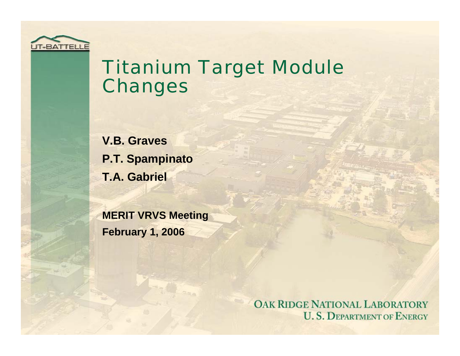

#### Titanium Target Module Changes

**V.B. Graves P.T. Spampinato T.A. Gabriel**

**MERIT VRVS Meeting February 1, 2006**

> OAK RIDGE NATIONAL LABORATORY **U. S. DEPARTMENT OF ENERGY**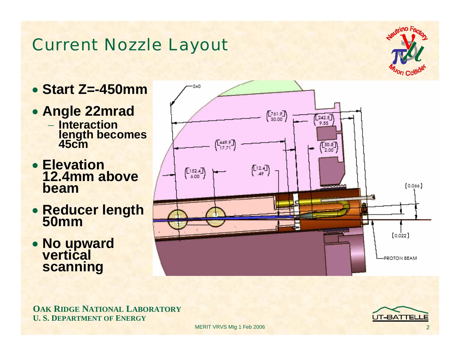#### Current Nozzle Layout



- **Start Z=-450mm**
- **Angle 22mrad** − **Interaction length becomes 45cm**
- **Elevation 12.4mm above beam**
- **Reducer length 50mm**
- **No upward vertical scanning**



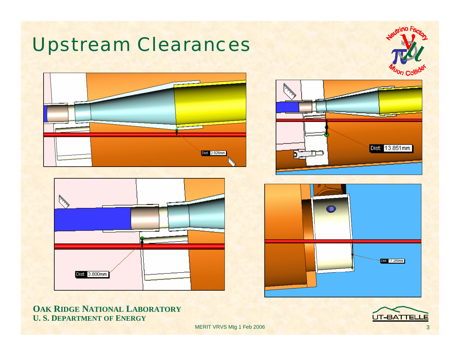

**OAK RIDGE NATIONAL LABORATORY U. S. DEPARTMENT OF ENERGY**

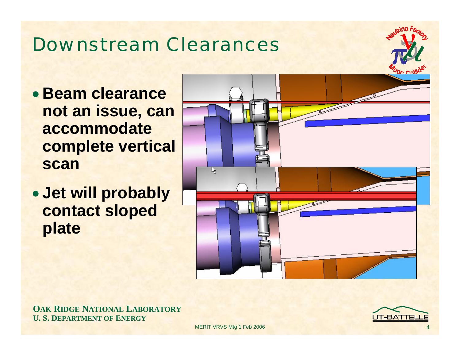### Downstream Clearances

- **Beam clearance not an issue, can accommodate complete vertical scan**
- **Jet will probably contact sloped plate**



**OAK RIDGE NATIONAL LABORATORY U. S. DEPARTMENT OF ENERGY**

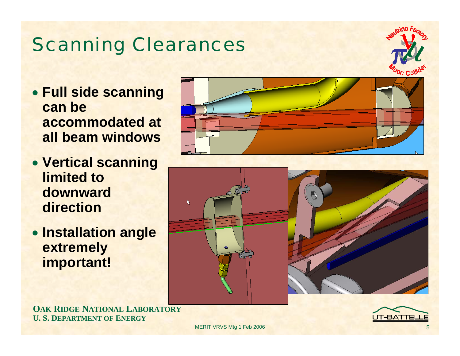## Scanning Clearances

- **Full side scanning can be accommodated at all beam windows**
- **Vertical scanning limited to downward direction**
- **Installation angle extremely important!**





**OAK RIDGE NATIONAL LABORATORY U. S. DEPARTMENT OF ENERGY**

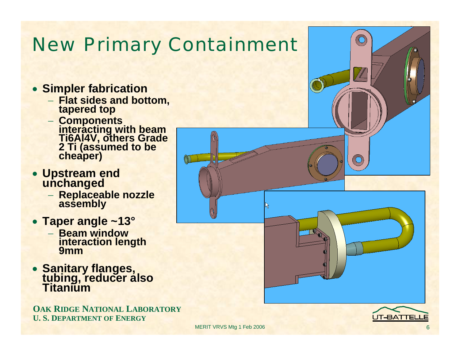## New Primary Containment

 $(V)$ 

- **Simpler fabrication**
	- − **Flat sides and bottom, tapered top**
	- −**Components interacting with beam Ti6Al4V, others Grade 2 Ti (assumed to be cheaper)**
- **Upstream end unchanged**
	- − **Replaceable nozzle assembly**
- **Taper angle ~13°**
	- − **Beam window interaction length 9mm**
- **Sanitary flanges, tubing, reducer also Titanium**

**OAK RIDGE NATIONAL LABORATORY U. S. DEPARTMENT OF ENERGY**